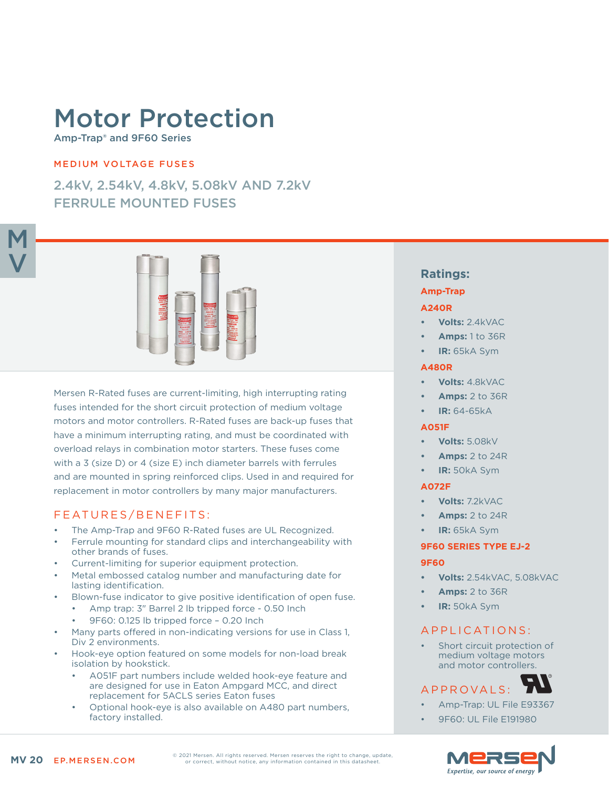# Motor Protection

Amp-Trap® and 9F60 Series

### MEDIUM VOLTAGE FUSES

2.4kV, 2.54kV, 4.8kV, 5.08kV AND 7.2kV FERRULE MOUNTED FUSES



Mersen R-Rated fuses are current-limiting, high interrupting rating fuses intended for the short circuit protection of medium voltage motors and motor controllers. R-Rated fuses are back-up fuses that have a minimum interrupting rating, and must be coordinated with overload relays in combination motor starters. These fuses come with a 3 (size D) or 4 (size E) inch diameter barrels with ferrules and are mounted in spring reinforced clips. Used in and required for replacement in motor controllers by many major manufacturers.

## FEATURES/BENEFITS:

- The Amp-Trap and 9F60 R-Rated fuses are UL Recognized.
- Ferrule mounting for standard clips and interchangeability with other brands of fuses.
- Current-limiting for superior equipment protection.
- Metal embossed catalog number and manufacturing date for lasting identification.
- Blown-fuse indicator to give positive identification of open fuse.
	- Amp trap: 3" Barrel 2 lb tripped force 0.50 Inch
	- 9F60: 0.125 lb tripped force 0.20 Inch
- Many parts offered in non-indicating versions for use in Class 1, Div 2 environments.
- Hook-eye option featured on some models for non-load break isolation by hookstick.
	- A051F part numbers include welded hook-eye feature and are designed for use in Eaton Ampgard MCC, and direct replacement for 5ACLS series Eaton fuses
	- Optional hook-eye is also available on A480 part numbers, factory installed.

## **Ratings:**

#### **Amp-Trap**

#### **A240R**

- **• Volts:** 2.4kVAC
- **• Amps:** 1 to 36R
- **• IR:** 65kA Sym

#### **A480R**

- **• Volts:** 4.8kVAC
- **• Amps:** 2 to 36R
- **• IR:** 64-65kA

#### **A051F**

- **• Volts:** 5.08kV
- **• Amps:** 2 to 24R
- **• IR:** 50kA Sym

#### **A072F**

- **• Volts:** 7.2kVAC
- **• Amps:** 2 to 24R
- **• IR:** 65kA Sym

#### **9F60 SERIES TYPE EJ-2**

#### **9F60**

- **• Volts:** 2.54kVAC, 5.08kVAC
- **• Amps:** 2 to 36R
- **• IR:** 50kA Sym

## APPLICATIONS:

Short circuit protection of medium voltage motors and motor controllers.

## APPROVALS:

- Amp-Trap: UL File E93367
- 9F60: UL File E191980



© 2021 Mersen. All rights reserved. Mersen reserves the right to change, update, or correct, without notice, any information contained in this datasheet.